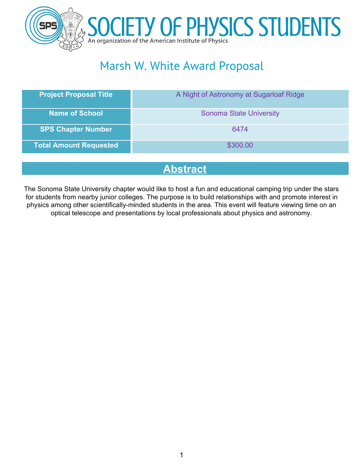

# Marsh W. White Award Proposal

| <b>Project Proposal Title</b> | A Night of Astronomy at Sugarloaf Ridge |
|-------------------------------|-----------------------------------------|
| <b>Name of School</b>         | <b>Sonoma State University</b>          |
| <b>SPS Chapter Number</b>     | 6474                                    |
| <b>Total Amount Requested</b> | \$300.00                                |

## **Abstract**

The Sonoma State University chapter would like to host a fun and educational camping trip under the stars for students from nearby junior colleges. The purpose is to build relationships with and promote interest in physics among other scientifically-minded students in the area. This event will feature viewing time on an optical telescope and presentations by local professionals about physics and astronomy.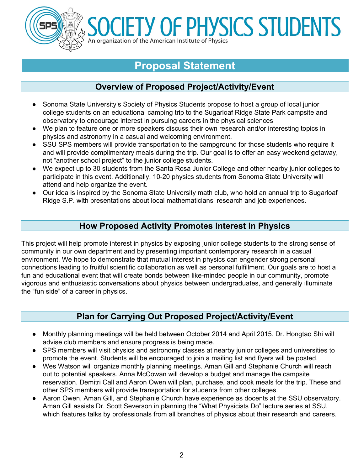

# **ETY OF PHYSICS STUDENTS** An organization of the American Institute of Physics

# **Proposal Statement**

#### **Overview of Proposed Project/Activity/Event**

- Sonoma State University's Society of Physics Students propose to host a group of local junior college students on an educational camping trip to the Sugarloaf Ridge State Park campsite and observatory to encourage interest in pursuing careers in the physical sciences
- We plan to feature one or more speakers discuss their own research and/or interesting topics in physics and astronomy in a casual and welcoming environment.
- SSU SPS members will provide transportation to the campground for those students who require it and will provide complimentary meals during the trip. Our goal is to offer an easy weekend getaway, not "another school project" to the junior college students.
- We expect up to 30 students from the Santa Rosa Junior College and other nearby junior colleges to participate in this event. Additionally, 10-20 physics students from Sonoma State University will attend and help organize the event.
- Our idea is inspired by the Sonoma State University math club, who hold an annual trip to Sugarloaf Ridge S.P. with presentations about local mathematicians' research and job experiences.

#### **How Proposed Activity Promotes Interest in Physics**

This project will help promote interest in physics by exposing junior college students to the strong sense of community in our own department and by presenting important contemporary research in a casual environment. We hope to demonstrate that mutual interest in physics can engender strong personal connections leading to fruitful scientific collaboration as well as personal fulfillment. Our goals are to host a fun and educational event that will create bonds between like-minded people in our community, promote vigorous and enthusiastic conversations about physics between undergraduates, and generally illuminate the "fun side" of a career in physics.

#### **Plan for Carrying Out Proposed Project/Activity/Event**

- Monthly planning meetings will be held between October 2014 and April 2015. Dr. Hongtao Shi will advise club members and ensure progress is being made.
- SPS members will visit physics and astronomy classes at nearby junior colleges and universities to promote the event. Students will be encouraged to join a mailing list and flyers will be posted.
- Wes Watson will organize monthly planning meetings. Aman Gill and Stephanie Church will reach out to potential speakers. Anna McCowan will develop a budget and manage the campsite reservation. Demitri Call and Aaron Owen will plan, purchase, and cook meals for the trip. These and other SPS members will provide transportation for students from other colleges.
- Aaron Owen, Aman Gill, and Stephanie Church have experience as docents at the SSU observatory. Aman Gill assists Dr. Scott Severson in planning the "What Physicists Do" lecture series at SSU, which features talks by professionals from all branches of physics about their research and careers.